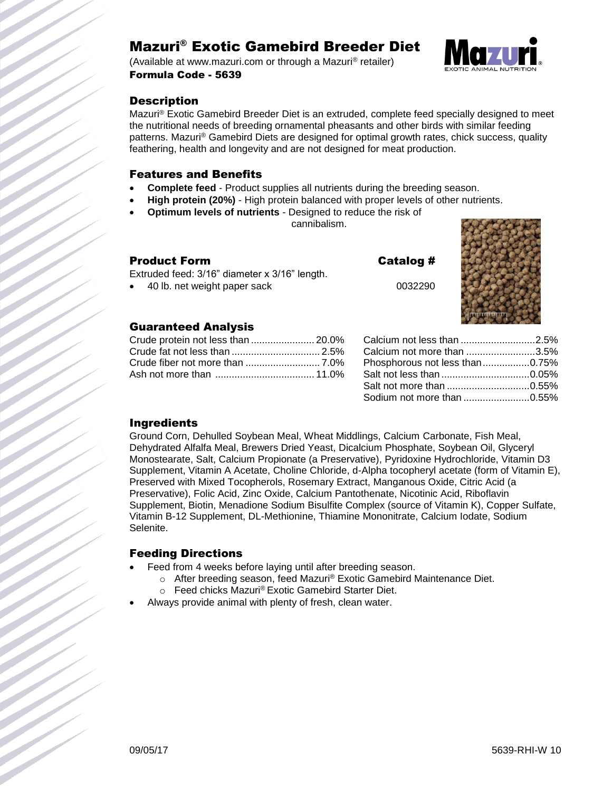# Mazuri® Exotic Gamebird Breeder Diet

(Available at www.mazuri.com or through a Mazuri® retailer) Formula Code - 5639



Sodium not more than ........................0.55%

### **Description**

Mazuri® Exotic Gamebird Breeder Diet is an extruded, complete feed specially designed to meet the nutritional needs of breeding ornamental pheasants and other birds with similar feeding patterns. Mazuri ® Gamebird Diets are designed for optimal growth rates, chick success, quality feathering, health and longevity and are not designed for meat production.

#### Features and Benefits

- **Complete feed** Product supplies all nutrients during the breeding season.
- **High protein (20%)** High protein balanced with proper levels of other nutrients.
- **Optimum levels of nutrients** Designed to reduce the risk of

cannibalism.

| <b>Product Form</b>                           | Catalog # |  |
|-----------------------------------------------|-----------|--|
| Extruded feed: 3/16" diameter x 3/16" length. |           |  |
| $\bullet$ 40 lb. net weight paper sack        | 0032290   |  |

#### Guaranteed Analysis

| . Crude protein not less than  20.0% Calcium not less than 2.5% |  |  |
|-----------------------------------------------------------------|--|--|
|                                                                 |  |  |
|                                                                 |  |  |
|                                                                 |  |  |
|                                                                 |  |  |

#### Ingredients

Ground Corn, Dehulled Soybean Meal, Wheat Middlings, Calcium Carbonate, Fish Meal, Dehydrated Alfalfa Meal, Brewers Dried Yeast, Dicalcium Phosphate, Soybean Oil, Glyceryl Monostearate, Salt, Calcium Propionate (a Preservative), Pyridoxine Hydrochloride, Vitamin D3 Supplement, Vitamin A Acetate, Choline Chloride, d-Alpha tocopheryl acetate (form of Vitamin E), Preserved with Mixed Tocopherols, Rosemary Extract, Manganous Oxide, Citric Acid (a Preservative), Folic Acid, Zinc Oxide, Calcium Pantothenate, Nicotinic Acid, Riboflavin Supplement, Biotin, Menadione Sodium Bisulfite Complex (source of Vitamin K), Copper Sulfate, Vitamin B-12 Supplement, DL-Methionine, Thiamine Mononitrate, Calcium Iodate, Sodium Selenite.

#### Feeding Directions

- Feed from 4 weeks before laying until after breeding season.
	- o After breeding season, feed Mazuri® Exotic Gamebird Maintenance Diet.
	- o Feed chicks Mazuri® Exotic Gamebird Starter Diet.
- Always provide animal with plenty of fresh, clean water.